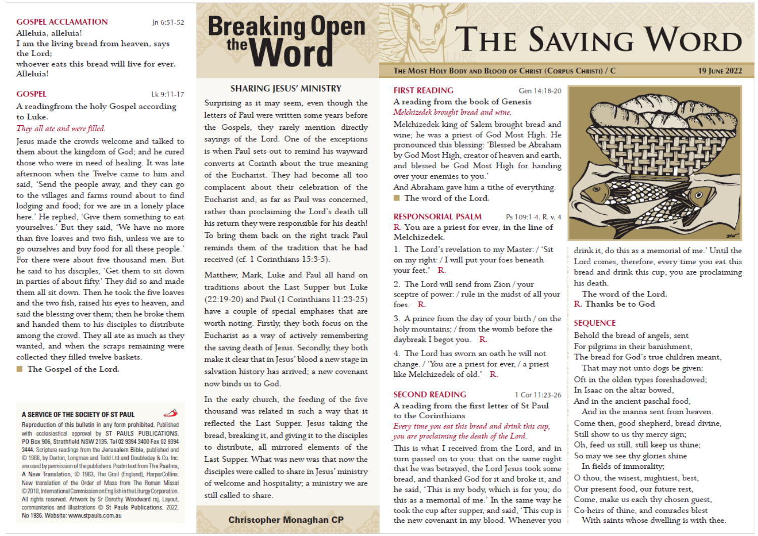#### **GOSPEL ACCLAMATION**

# In 6:51-52

Alleluia, alleluia! I am the living bread from heaven, says the Lord: whoever eats this bread will live for ever. **Allehnia!** 

#### **GOSPEL**

Lk 9:11-17

A readingfrom the holy Gospel according to Luke.

#### They all ate and were filled.

Jesus made the crowds welcome and talked to them about the kingdom of God; and he cured those who were in need of healing. It was late afternoon when the Twelve came to him and said, 'Send the people away, and they can go to the villages and farms round about to find lodging and food; for we are in a lonely place here.' He replied, 'Give them something to eat yourselves.' But they said, 'We have no more than five loaves and two fish, unless we are to go ourselves and buy food for all these people.' For there were about five thousand men. But he said to his disciples. 'Get them to sit down in parties of about fifty.' They did so and made them all sit down. Then he took the five loaves and the two fish, raised his eves to heaven, and said the blessing over them; then he broke them and handed them to his disciples to distribute among the crowd. They all ate as much as they wanted, and when the scraps remaining were collected they filled twelve baskets.

■ The Gospel of the Lord.

#### A SERVICE OF THE SOCIETY OF ST PAUL

Reproduction of this bulletin in any form prohibited. Published with ecclesiastical approval by ST PAULS PUBLICATIONS, PO Box 906, Strathfield NSW 2135. Tel 02 9394 3400 Fax 02 9394 3444. Scripture readings from the Jerusalem Bible, published and C 1966, by Darton, Longman and Todd Ltd and Doubleday & Co. Inc. are used by permission of the publishers. Psalm text from The Psalms. A New Translation, C 1963, The Grail (England), HarperCollins. New translation of the Order of Mass from The Roman Missal © 2010. International Commission on English in the Liturgy Corporation. All rights reserved. Artwork by Sr Dorothy Woodward rsj. Layout, commentaries and illustrations C St Pauls Publications, 2022. No 1936. Website: www.stpauls.com.au

# **Breaking Open**

#### **SHARING JESUS' MINISTRY**

Surprising as it may seem, even though the letters of Paul were written some years before the Gospels, they rarely mention directly sayings of the Lord. One of the exceptions is when Paul sets out to remind his wayward converts at Corinth about the true meaning of the Eucharist. They had become all too complacent about their celebration of the Eucharist and, as far as Paul was concerned, rather than proclaiming the Lord's death till his return they were responsible for his death! To bring them back on the right track Paul reminds them of the tradition that he had received (cf. 1 Corinthians 15:3-5).

Matthew, Mark, Luke and Paul all hand on traditions about the Last Supper but Luke (22:19-20) and Paul (1 Corinthians 11:23-25) have a couple of special emphases that are worth noting. Firstly, they both focus on the Eucharist as a way of actively remembering the saving death of Jesus. Secondly, they both make it clear that in Jesus' blood a new stage in salvation history has arrived; a new covenant now binds us to God

In the early church, the feeding of the five thousand was related in such a way that it reflected the Last Supper. Jesus taking the bread, breaking it, and giving it to the disciples to distribute, all mirrored elements of the Last Supper. What was new was that now the disciples were called to share in Jesus' ministry of welcome and hospitality; a ministry we are still called to share

#### **Christopher Monaghan CP**

# THE SAVING WORD

THE MOST HOLY BODY AND BLOOD OF CHRIST (CORPUS CHRISTI) / C

**19 IUNE 2022** 

#### **FIRST READING** A reading from the book of Genesis Melchizedek brought bread and wine.

Melchizedek king of Salem brought bread and wine; he was a priest of God Most High. He pronounced this blessing: 'Blessed be Abraham by God Most High, creator of heaven and earth, and blessed be God Most High for handing over your enemies to you.'

And Abraham gave him a tithe of everything.

■ The word of the Lord.

**RESPONSORIAL PSALM**  $Ps$  109:1-4, R, v, 4 R. You are a priest for ever, in the line of Melchizedek.

1. The Lord's revelation to my Master: / 'Sit on my right: / I will put your foes beneath vour feet.' R.

2. The Lord will send from Zion / your sceptre of power: / rule in the midst of all your foes. R.

3. A prince from the day of your birth / on the holy mountains; / from the womb before the daybreak I begot you. R.

4. The Lord has sworn an oath he will not change. / 'You are a priest for ever, / a priest like Melchizedek of old.' R.

#### **SECOND READING**

A reading from the first letter of St Paul to the Corinthians

1 Cor 11:23-26

#### Every time you eat this bread and drink this cup, you are proclaiming the death of the Lord.

This is what I received from the Lord, and in turn passed on to you: that on the same night that he was betrayed, the Lord Jesus took some bread, and thanked God for it and broke it, and he said, 'This is my body, which is for you; do this as a memorial of me.' In the same way he took the cup after supper, and said, 'This cup is the new covenant in my blood. Whenever you



drink it, do this as a memorial of me.' Until the Lord comes, therefore, every time you eat this bread and drink this cup, you are proclaiming his death

The word of the Lord. R. Thanks be to God

# **SEOUENCE**

Behold the bread of angels, sent For pilgrims in their banishment, The bread for God's true children meant. That may not unto dogs be given:

Oft in the olden types foreshadowed: In Isaac on the altar bowed.

And in the ancient paschal food, And in the manna sent from heaven.

Come then, good shepherd, bread divine, Still show to us thy mercy sign; Oh, feed us still, still keep us thine; So may we see thy glories shine In fields of immorality;

O thou, the wisest, mightiest, best, Our present food, our future rest, Come, make us each thy chosen guest, Co-heirs of thine, and comrades blest With saints whose dwelling is with thee.